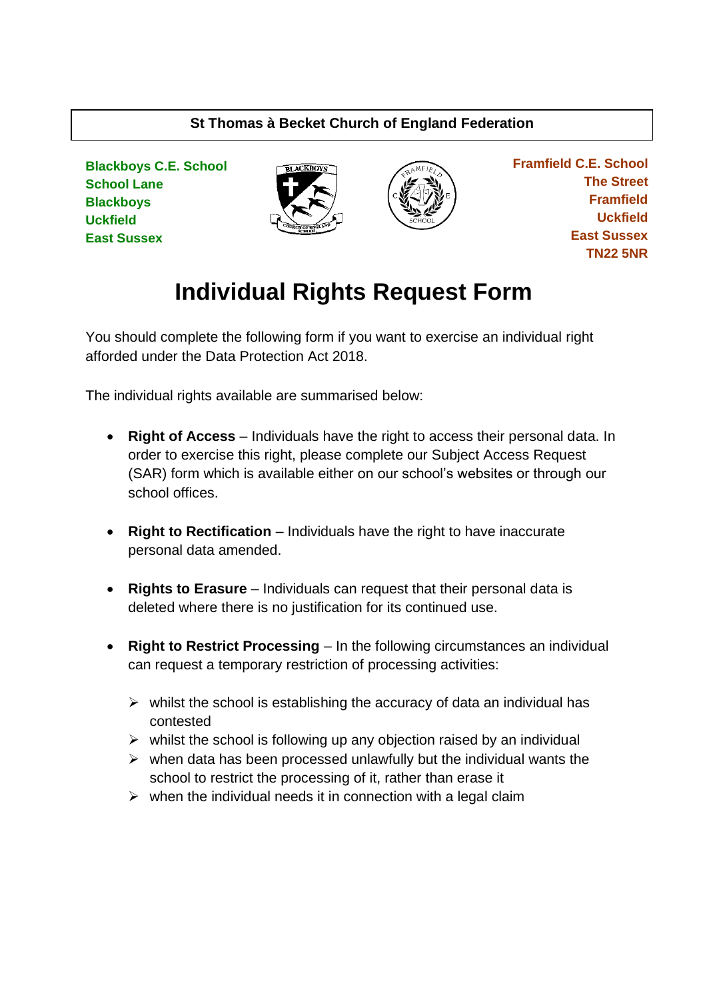# **St Thomas à Becket Church of England Federation**

**Blackboys C.E. School School Lane Blackboys Uckfield East Sussex**





 **Framfield C.E. School The Street Framfield Uckfield East Sussex TN22 5NR**

# **Individual Rights Request Form**

You should complete the following form if you want to exercise an individual right afforded under the Data Protection Act 2018.

The individual rights available are summarised below:

- **Right of Access** Individuals have the right to access their personal data. In order to exercise this right, please complete our Subject Access Request (SAR) form which is available either on our school's websites or through our school offices.
- **Right to Rectification** Individuals have the right to have inaccurate personal data amended.
- **Rights to Erasure** Individuals can request that their personal data is deleted where there is no justification for its continued use.
- **Right to Restrict Processing** In the following circumstances an individual can request a temporary restriction of processing activities:
	- $\triangleright$  whilst the school is establishing the accuracy of data an individual has contested
	- $\triangleright$  whilst the school is following up any objection raised by an individual
	- $\triangleright$  when data has been processed unlawfully but the individual wants the school to restrict the processing of it, rather than erase it
	- $\triangleright$  when the individual needs it in connection with a legal claim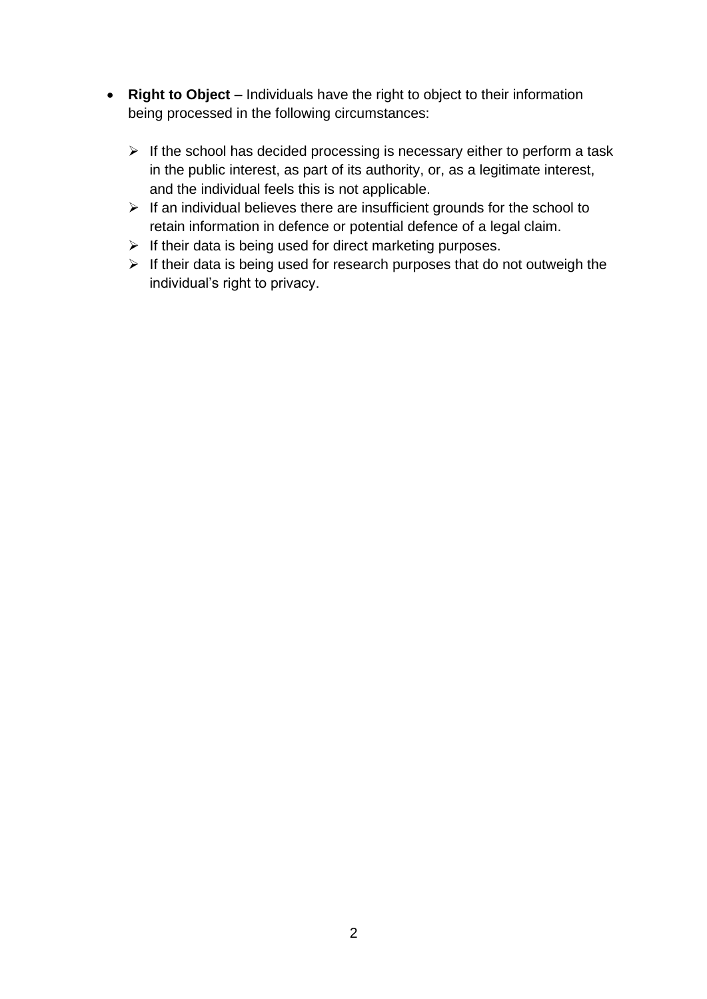- **Right to Object** Individuals have the right to object to their information being processed in the following circumstances:
	- $\triangleright$  If the school has decided processing is necessary either to perform a task in the public interest, as part of its authority, or, as a legitimate interest, and the individual feels this is not applicable.
	- $\triangleright$  If an individual believes there are insufficient grounds for the school to retain information in defence or potential defence of a legal claim.
	- $\triangleright$  If their data is being used for direct marketing purposes.
	- ➢ If their data is being used for research purposes that do not outweigh the individual's right to privacy.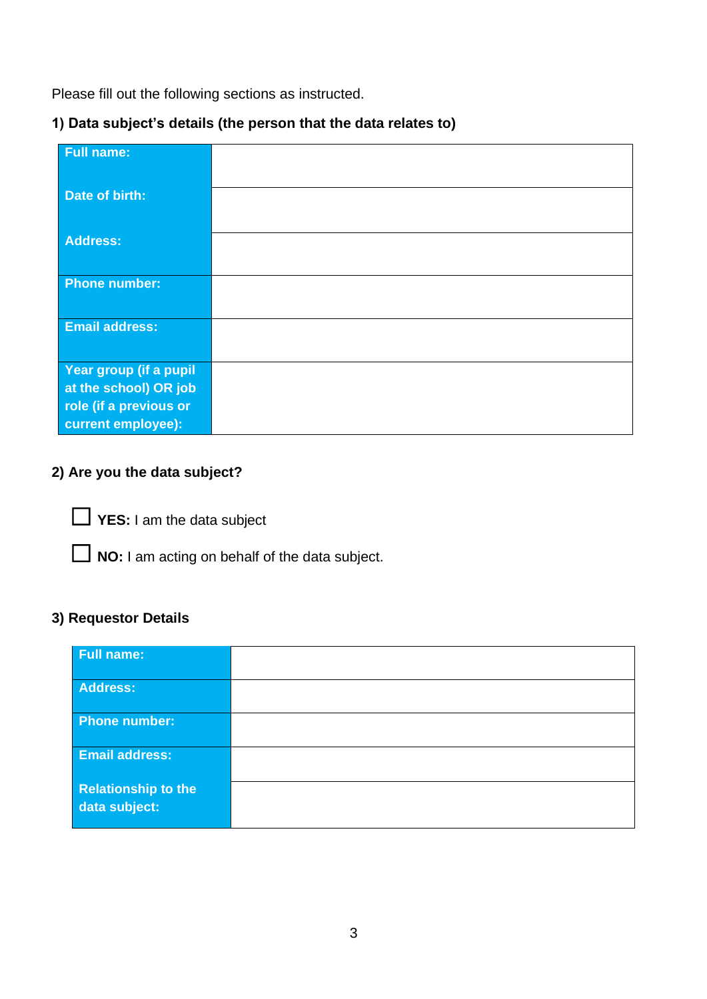Please fill out the following sections as instructed.

# **1) Data subject's details (the person that the data relates to)**

| <b>Full name:</b>                                                                               |  |
|-------------------------------------------------------------------------------------------------|--|
| Date of birth:                                                                                  |  |
| <b>Address:</b>                                                                                 |  |
| <b>Phone number:</b>                                                                            |  |
| <b>Email address:</b>                                                                           |  |
| Year group (if a pupil<br>at the school) OR job<br>role (if a previous or<br>current employee): |  |

# **2) Are you the data subject?**

☐ **YES:** I am the data subject

□ **NO:** I am acting on behalf of the data subject.

# **3) Requestor Details**

| <b>Full name:</b>                           |  |
|---------------------------------------------|--|
| <b>Address:</b>                             |  |
| <b>Phone number:</b>                        |  |
| <b>Email address:</b>                       |  |
| <b>Relationship to the</b><br>data subject: |  |